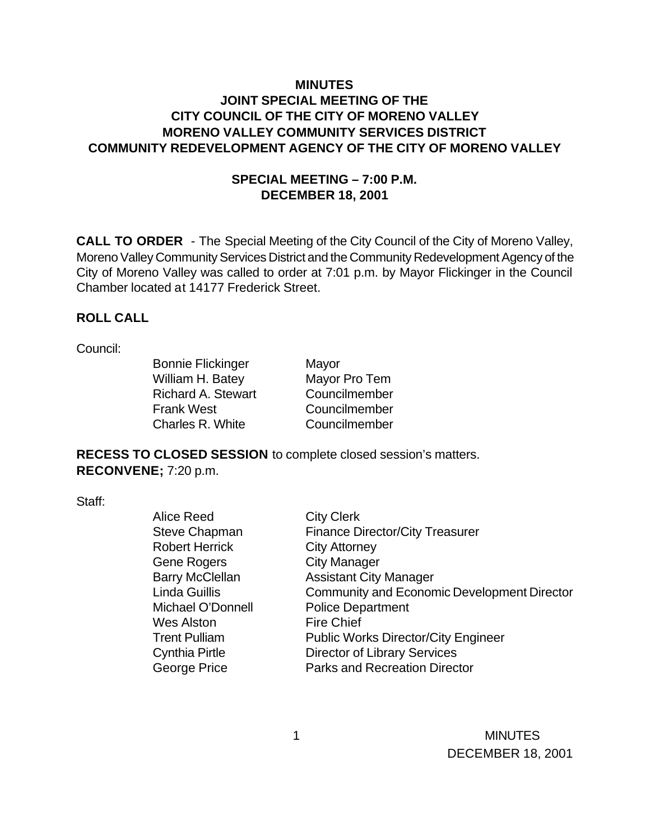# **MINUTES JOINT SPECIAL MEETING OF THE CITY COUNCIL OF THE CITY OF MORENO VALLEY MORENO VALLEY COMMUNITY SERVICES DISTRICT COMMUNITY REDEVELOPMENT AGENCY OF THE CITY OF MORENO VALLEY**

## **SPECIAL MEETING – 7:00 P.M. DECEMBER 18, 2001**

**CALL TO ORDER** - The Special Meeting of the City Council of the City of Moreno Valley, Moreno Valley Community Services District and the Community Redevelopment Agency of the City of Moreno Valley was called to order at 7:01 p.m. by Mayor Flickinger in the Council Chamber located at 14177 Frederick Street.

#### **ROLL CALL**

#### Council:

Bonnie Flickinger Mayor William H. Batey Mayor Pro Tem Richard A. Stewart Councilmember Frank West Councilmember Charles R. White Councilmember

**RECESS TO CLOSED SESSION** to complete closed session's matters. **RECONVENE;** 7:20 p.m.

Staff:

| <b>City Clerk</b>                                  |
|----------------------------------------------------|
| <b>Finance Director/City Treasurer</b>             |
| <b>City Attorney</b>                               |
| <b>City Manager</b>                                |
| <b>Assistant City Manager</b>                      |
| <b>Community and Economic Development Director</b> |
| <b>Police Department</b>                           |
| <b>Fire Chief</b>                                  |
| <b>Public Works Director/City Engineer</b>         |
| <b>Director of Library Services</b>                |
| Parks and Recreation Director                      |
|                                                    |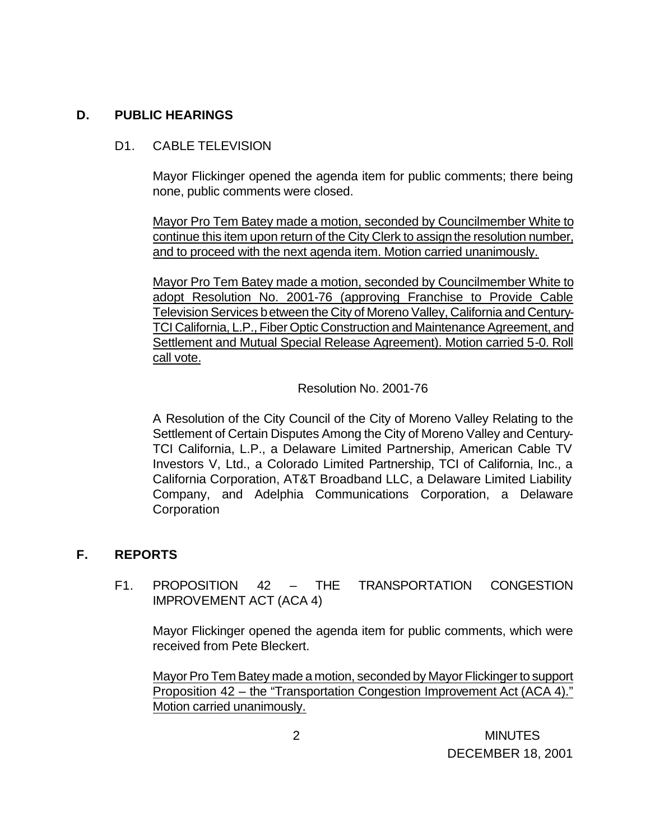## **D. PUBLIC HEARINGS**

## D1. CABLE TELEVISION

Mayor Flickinger opened the agenda item for public comments; there being none, public comments were closed.

Mayor Pro Tem Batey made a motion, seconded by Councilmember White to continue this item upon return of the City Clerk to assign the resolution number, and to proceed with the next agenda item. Motion carried unanimously.

Mayor Pro Tem Batey made a motion, seconded by Councilmember White to adopt Resolution No. 2001-76 (approving Franchise to Provide Cable Television Services between the City of Moreno Valley, California and Century-TCI California, L.P., Fiber Optic Construction and Maintenance Agreement, and Settlement and Mutual Special Release Agreement). Motion carried 5-0. Roll call vote.

#### Resolution No. 2001-76

A Resolution of the City Council of the City of Moreno Valley Relating to the Settlement of Certain Disputes Among the City of Moreno Valley and Century-TCI California, L.P., a Delaware Limited Partnership, American Cable TV Investors V, Ltd., a Colorado Limited Partnership, TCI of California, Inc., a California Corporation, AT&T Broadband LLC, a Delaware Limited Liability Company, and Adelphia Communications Corporation, a Delaware **Corporation** 

# **F. REPORTS**

F1. PROPOSITION 42 – THE TRANSPORTATION CONGESTION IMPROVEMENT ACT (ACA 4)

Mayor Flickinger opened the agenda item for public comments, which were received from Pete Bleckert.

Mayor Pro Tem Batey made a motion, seconded by Mayor Flickinger to support Proposition 42 – the "Transportation Congestion Improvement Act (ACA 4)." Motion carried unanimously.